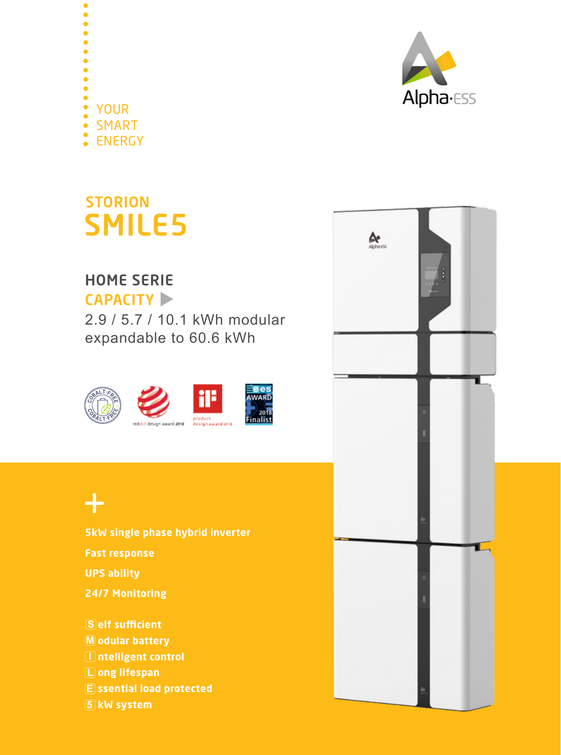



SMART YOUR

 $\bullet$ 

ENERGY

## HOME SERIE

CAPACITY

2.9 / 5.7 / 10.1 kWh modular expandable to 60.6 kWh



## $+$

**5kW single phase hybrid inverter Fast response UPS ability 24/7 Monitoring S** elf sufficient

**M odular battery I ntelligent control L ong lifespan E ssential load protected 5 kW system**